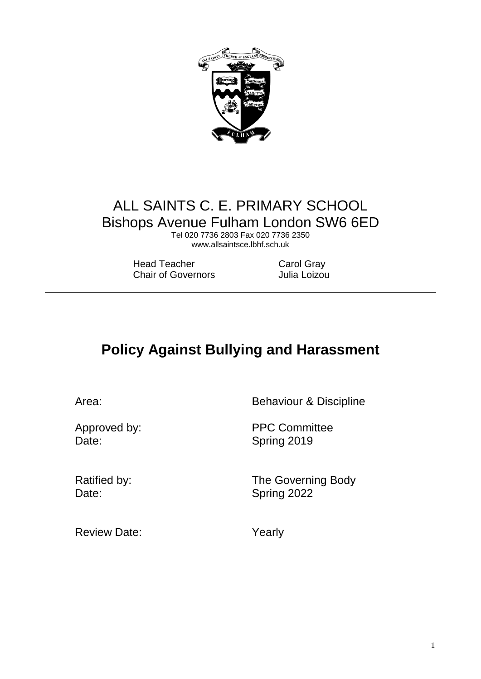

# ALL SAINTS C. E. PRIMARY SCHOOL Bishops Avenue Fulham London SW6 6ED

Tel 020 7736 2803 Fax 020 7736 2350 www.allsaintsce.lbhf.sch.uk

Head Teacher Carol Gray Chair of Governors **Julia Loizou** 

# **Policy Against Bullying and Harassment**

Area: Behaviour & Discipline

Date: Spring 2019

Approved by: PPC Committee

Ratified by: The Governing Body Date: Spring 2022

Review Date: Yearly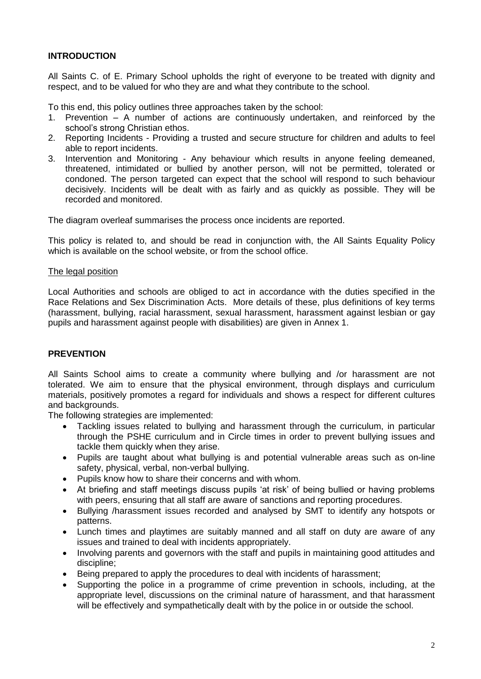# **INTRODUCTION**

All Saints C. of E. Primary School upholds the right of everyone to be treated with dignity and respect, and to be valued for who they are and what they contribute to the school.

To this end, this policy outlines three approaches taken by the school:

- 1. Prevention A number of actions are continuously undertaken, and reinforced by the school's strong Christian ethos.
- 2. Reporting Incidents Providing a trusted and secure structure for children and adults to feel able to report incidents.
- 3. Intervention and Monitoring Any behaviour which results in anyone feeling demeaned, threatened, intimidated or bullied by another person, will not be permitted, tolerated or condoned. The person targeted can expect that the school will respond to such behaviour decisively. Incidents will be dealt with as fairly and as quickly as possible. They will be recorded and monitored.

The diagram overleaf summarises the process once incidents are reported.

This policy is related to, and should be read in conjunction with, the All Saints Equality Policy which is available on the school website, or from the school office.

## The legal position

Local Authorities and schools are obliged to act in accordance with the duties specified in the Race Relations and Sex Discrimination Acts. More details of these, plus definitions of key terms (harassment, bullying, racial harassment, sexual harassment, harassment against lesbian or gay pupils and harassment against people with disabilities) are given in Annex 1.

## **PREVENTION**

All Saints School aims to create a community where bullying and /or harassment are not tolerated. We aim to ensure that the physical environment, through displays and curriculum materials, positively promotes a regard for individuals and shows a respect for different cultures and backgrounds.

The following strategies are implemented:

- Tackling issues related to bullying and harassment through the curriculum, in particular through the PSHE curriculum and in Circle times in order to prevent bullying issues and tackle them quickly when they arise.
- Pupils are taught about what bullying is and potential vulnerable areas such as on-line safety, physical, verbal, non-verbal bullying.
- Pupils know how to share their concerns and with whom.
- At briefing and staff meetings discuss pupils 'at risk' of being bullied or having problems with peers, ensuring that all staff are aware of sanctions and reporting procedures.
- Bullying /harassment issues recorded and analysed by SMT to identify any hotspots or patterns.
- Lunch times and playtimes are suitably manned and all staff on duty are aware of any issues and trained to deal with incidents appropriately.
- Involving parents and governors with the staff and pupils in maintaining good attitudes and discipline;
- Being prepared to apply the procedures to deal with incidents of harassment;
- Supporting the police in a programme of crime prevention in schools, including, at the appropriate level, discussions on the criminal nature of harassment, and that harassment will be effectively and sympathetically dealt with by the police in or outside the school.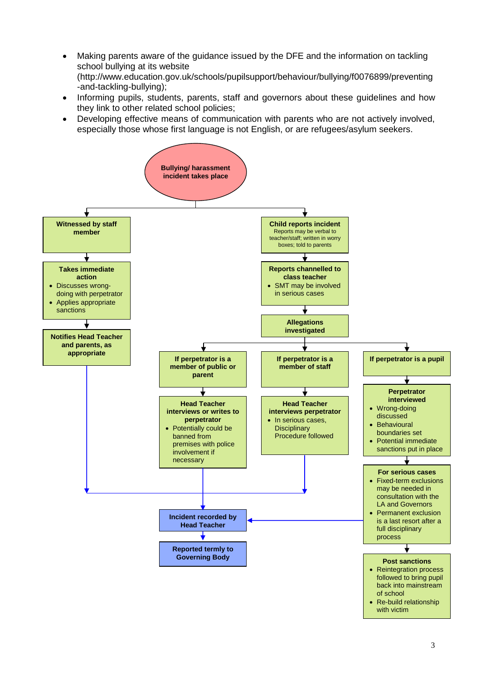- Making parents aware of the guidance issued by the DFE and the information on tackling school bullying at its website (http://www.education.gov.uk/schools/pupilsupport/behaviour/bullying/f0076899/preventing -and-tackling-bullying);
- Informing pupils, students, parents, staff and governors about these guidelines and how they link to other related school policies;
- Developing effective means of communication with parents who are not actively involved, especially those whose first language is not English, or are refugees/asylum seekers.

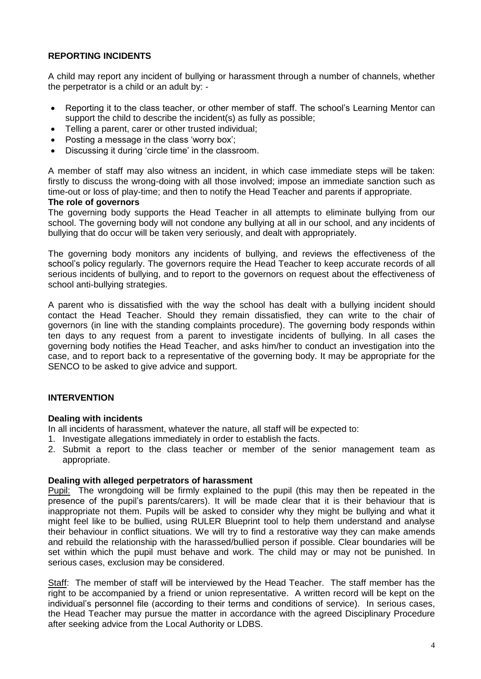## **REPORTING INCIDENTS**

A child may report any incident of bullying or harassment through a number of channels, whether the perpetrator is a child or an adult by: -

- Reporting it to the class teacher, or other member of staff. The school's Learning Mentor can support the child to describe the incident(s) as fully as possible;
- Telling a parent, carer or other trusted individual;
- Posting a message in the class 'worry box';
- Discussing it during 'circle time' in the classroom.

A member of staff may also witness an incident, in which case immediate steps will be taken: firstly to discuss the wrong-doing with all those involved; impose an immediate sanction such as time-out or loss of play-time; and then to notify the Head Teacher and parents if appropriate.

#### **The role of governors**

The governing body supports the Head Teacher in all attempts to eliminate bullying from our school. The governing body will not condone any bullying at all in our school, and any incidents of bullying that do occur will be taken very seriously, and dealt with appropriately.

The governing body monitors any incidents of bullying, and reviews the effectiveness of the school's policy regularly. The governors require the Head Teacher to keep accurate records of all serious incidents of bullying, and to report to the governors on request about the effectiveness of school anti-bullying strategies.

A parent who is dissatisfied with the way the school has dealt with a bullying incident should contact the Head Teacher. Should they remain dissatisfied, they can write to the chair of governors (in line with the standing complaints procedure). The governing body responds within ten days to any request from a parent to investigate incidents of bullying. In all cases the governing body notifies the Head Teacher, and asks him/her to conduct an investigation into the case, and to report back to a representative of the governing body. It may be appropriate for the SENCO to be asked to give advice and support.

## **INTERVENTION**

## **Dealing with incidents**

In all incidents of harassment, whatever the nature, all staff will be expected to:

- 1. Investigate allegations immediately in order to establish the facts.
- 2. Submit a report to the class teacher or member of the senior management team as appropriate.

#### **Dealing with alleged perpetrators of harassment**

Pupil: The wrongdoing will be firmly explained to the pupil (this may then be repeated in the presence of the pupil's parents/carers). It will be made clear that it is their behaviour that is inappropriate not them. Pupils will be asked to consider why they might be bullying and what it might feel like to be bullied, using RULER Blueprint tool to help them understand and analyse their behaviour in conflict situations. We will try to find a restorative way they can make amends and rebuild the relationship with the harassed/bullied person if possible. Clear boundaries will be set within which the pupil must behave and work. The child may or may not be punished. In serious cases, exclusion may be considered.

Staff: The member of staff will be interviewed by the Head Teacher. The staff member has the right to be accompanied by a friend or union representative. A written record will be kept on the individual's personnel file (according to their terms and conditions of service). In serious cases, the Head Teacher may pursue the matter in accordance with the agreed Disciplinary Procedure after seeking advice from the Local Authority or LDBS.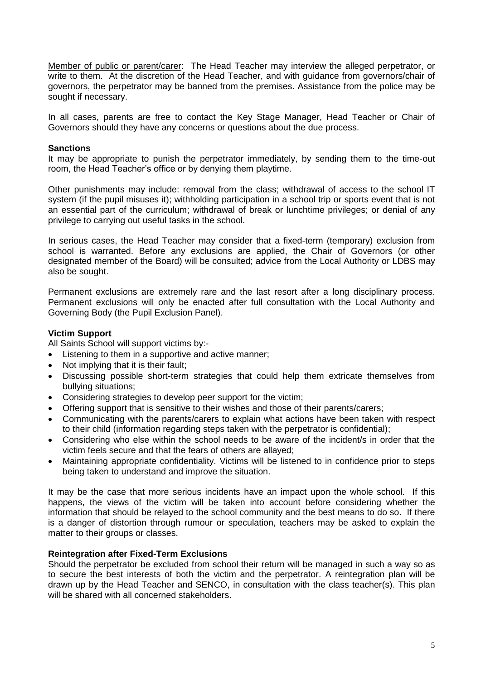Member of public or parent/carer: The Head Teacher may interview the alleged perpetrator, or write to them. At the discretion of the Head Teacher, and with guidance from governors/chair of governors, the perpetrator may be banned from the premises. Assistance from the police may be sought if necessary.

In all cases, parents are free to contact the Key Stage Manager, Head Teacher or Chair of Governors should they have any concerns or questions about the due process.

## **Sanctions**

It may be appropriate to punish the perpetrator immediately, by sending them to the time-out room, the Head Teacher's office or by denying them playtime.

Other punishments may include: removal from the class; withdrawal of access to the school IT system (if the pupil misuses it); withholding participation in a school trip or sports event that is not an essential part of the curriculum; withdrawal of break or lunchtime privileges; or denial of any privilege to carrying out useful tasks in the school.

In serious cases, the Head Teacher may consider that a fixed-term (temporary) exclusion from school is warranted. Before any exclusions are applied, the Chair of Governors (or other designated member of the Board) will be consulted; advice from the Local Authority or LDBS may also be sought.

Permanent exclusions are extremely rare and the last resort after a long disciplinary process. Permanent exclusions will only be enacted after full consultation with the Local Authority and Governing Body (the Pupil Exclusion Panel).

## **Victim Support**

All Saints School will support victims by:-

- Listening to them in a supportive and active manner:
- Not implying that it is their fault;
- Discussing possible short-term strategies that could help them extricate themselves from bullying situations;
- Considering strategies to develop peer support for the victim;
- Offering support that is sensitive to their wishes and those of their parents/carers;
- Communicating with the parents/carers to explain what actions have been taken with respect to their child (information regarding steps taken with the perpetrator is confidential);
- Considering who else within the school needs to be aware of the incident/s in order that the victim feels secure and that the fears of others are allayed;
- Maintaining appropriate confidentiality. Victims will be listened to in confidence prior to steps being taken to understand and improve the situation.

It may be the case that more serious incidents have an impact upon the whole school. If this happens, the views of the victim will be taken into account before considering whether the information that should be relayed to the school community and the best means to do so. If there is a danger of distortion through rumour or speculation, teachers may be asked to explain the matter to their groups or classes.

## **Reintegration after Fixed-Term Exclusions**

Should the perpetrator be excluded from school their return will be managed in such a way so as to secure the best interests of both the victim and the perpetrator. A reintegration plan will be drawn up by the Head Teacher and SENCO, in consultation with the class teacher(s). This plan will be shared with all concerned stakeholders.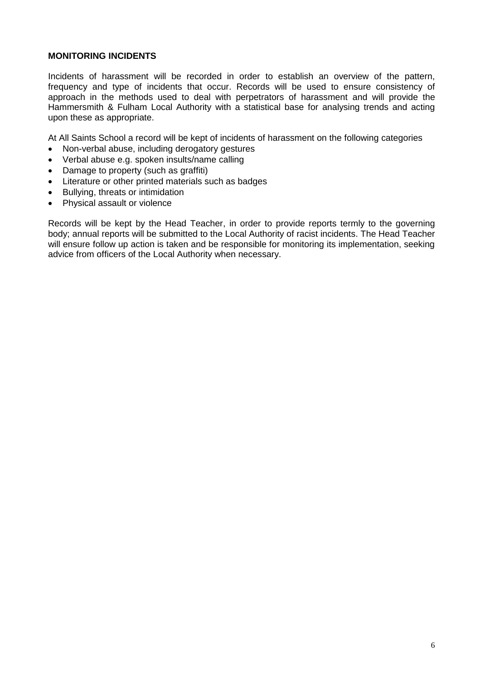## **MONITORING INCIDENTS**

Incidents of harassment will be recorded in order to establish an overview of the pattern, frequency and type of incidents that occur. Records will be used to ensure consistency of approach in the methods used to deal with perpetrators of harassment and will provide the Hammersmith & Fulham Local Authority with a statistical base for analysing trends and acting upon these as appropriate.

At All Saints School a record will be kept of incidents of harassment on the following categories

- Non-verbal abuse, including derogatory gestures
- Verbal abuse e.g. spoken insults/name calling
- Damage to property (such as graffiti)
- Literature or other printed materials such as badges
- Bullying, threats or intimidation
- Physical assault or violence

Records will be kept by the Head Teacher, in order to provide reports termly to the governing body; annual reports will be submitted to the Local Authority of racist incidents. The Head Teacher will ensure follow up action is taken and be responsible for monitoring its implementation, seeking advice from officers of the Local Authority when necessary.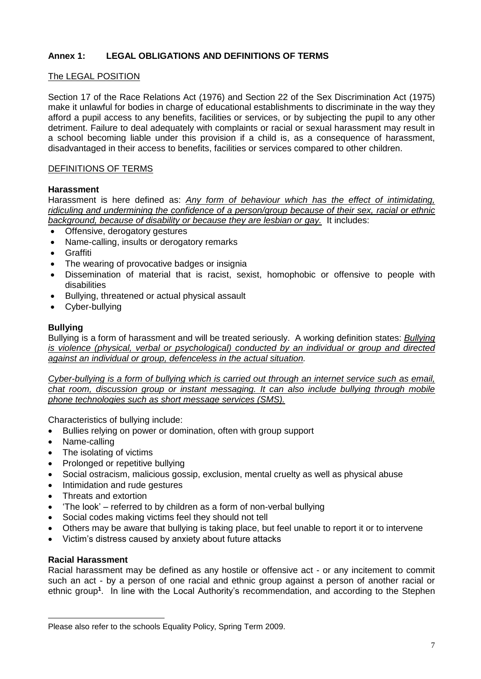# **Annex 1: LEGAL OBLIGATIONS AND DEFINITIONS OF TERMS**

## The LEGAL POSITION

Section 17 of the Race Relations Act (1976) and Section 22 of the Sex Discrimination Act (1975) make it unlawful for bodies in charge of educational establishments to discriminate in the way they afford a pupil access to any benefits, facilities or services, or by subjecting the pupil to any other detriment. Failure to deal adequately with complaints or racial or sexual harassment may result in a school becoming liable under this provision if a child is, as a consequence of harassment, disadvantaged in their access to benefits, facilities or services compared to other children.

## DEFINITIONS OF TERMS

## **Harassment**

Harassment is here defined as: *Any form of behaviour which has the effect of intimidating, ridiculing and undermining the confidence of a person/group because of their sex, racial or ethnic background, because of disability or because they are lesbian or gay.* It includes:

- Offensive, derogatory gestures
- Name-calling, insults or derogatory remarks
- Graffiti
- The wearing of provocative badges or insignia
- Dissemination of material that is racist, sexist, homophobic or offensive to people with disabilities
- Bullying, threatened or actual physical assault
- Cyber-bullying

## **Bullying**

Bullying is a form of harassment and will be treated seriously. A working definition states: *Bullying is violence (physical, verbal or psychological) conducted by an individual or group and directed against an individual or group, defenceless in the actual situation.*

*Cyber-bullying is a form of bullying which is carried out through an internet service such as email, chat room, discussion group or instant messaging. It can also include bullying through mobile phone technologies such as short message services (SMS).*

Characteristics of bullying include:

- Bullies relying on power or domination, often with group support
- Name-calling
- The isolating of victims
- Prolonged or repetitive bullying
- Social ostracism, malicious gossip, exclusion, mental cruelty as well as physical abuse
- Intimidation and rude gestures
- Threats and extortion
- 'The look' referred to by children as a form of non-verbal bullying
- Social codes making victims feel they should not tell
- Others may be aware that bullying is taking place, but feel unable to report it or to intervene
- Victim's distress caused by anxiety about future attacks

#### **Racial Harassment**

l

Racial harassment may be defined as any hostile or offensive act - or any incitement to commit such an act - by a person of one racial and ethnic group against a person of another racial or ethnic group**<sup>1</sup>** . In line with the Local Authority's recommendation, and according to the Stephen

Please also refer to the schools Equality Policy, Spring Term 2009.